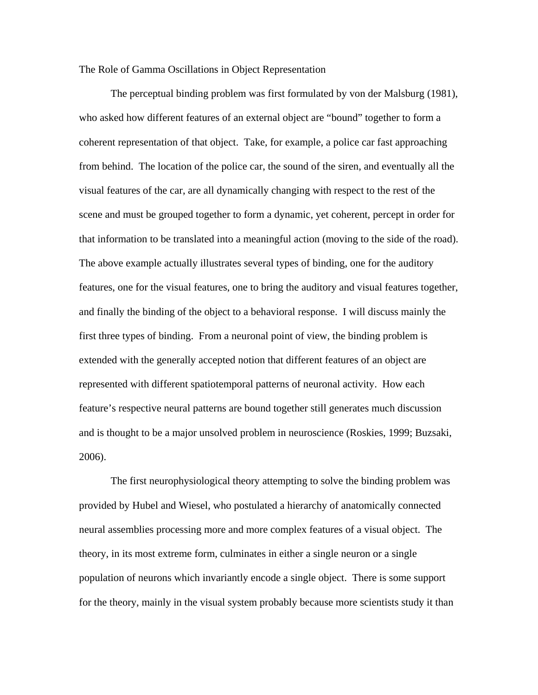The Role of Gamma Oscillations in Object Representation

 The perceptual binding problem was first formulated by von der Malsburg (1981), who asked how different features of an external object are "bound" together to form a coherent representation of that object. Take, for example, a police car fast approaching from behind. The location of the police car, the sound of the siren, and eventually all the visual features of the car, are all dynamically changing with respect to the rest of the scene and must be grouped together to form a dynamic, yet coherent, percept in order for that information to be translated into a meaningful action (moving to the side of the road). The above example actually illustrates several types of binding, one for the auditory features, one for the visual features, one to bring the auditory and visual features together, and finally the binding of the object to a behavioral response. I will discuss mainly the first three types of binding. From a neuronal point of view, the binding problem is extended with the generally accepted notion that different features of an object are represented with different spatiotemporal patterns of neuronal activity. How each feature's respective neural patterns are bound together still generates much discussion and is thought to be a major unsolved problem in neuroscience (Roskies, 1999; Buzsaki, 2006).

 The first neurophysiological theory attempting to solve the binding problem was provided by Hubel and Wiesel, who postulated a hierarchy of anatomically connected neural assemblies processing more and more complex features of a visual object. The theory, in its most extreme form, culminates in either a single neuron or a single population of neurons which invariantly encode a single object. There is some support for the theory, mainly in the visual system probably because more scientists study it than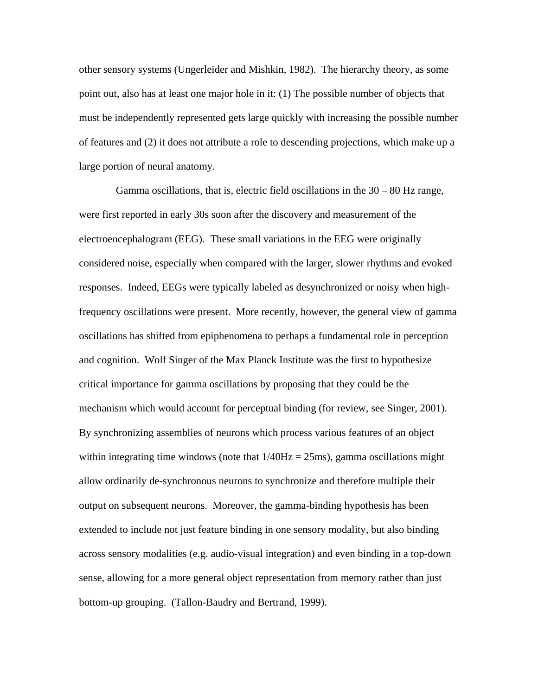other sensory systems (Ungerleider and Mishkin, 1982). The hierarchy theory, as some point out, also has at least one major hole in it: (1) The possible number of objects that must be independently represented gets large quickly with increasing the possible number of features and (2) it does not attribute a role to descending projections, which make up a large portion of neural anatomy.

Gamma oscillations, that is, electric field oscillations in the  $30 - 80$  Hz range, were first reported in early 30s soon after the discovery and measurement of the electroencephalogram (EEG). These small variations in the EEG were originally considered noise, especially when compared with the larger, slower rhythms and evoked responses. Indeed, EEGs were typically labeled as desynchronized or noisy when highfrequency oscillations were present. More recently, however, the general view of gamma oscillations has shifted from epiphenomena to perhaps a fundamental role in perception and cognition. Wolf Singer of the Max Planck Institute was the first to hypothesize critical importance for gamma oscillations by proposing that they could be the mechanism which would account for perceptual binding (for review, see Singer, 2001). By synchronizing assemblies of neurons which process various features of an object within integrating time windows (note that  $1/40Hz = 25ms$ ), gamma oscillations might allow ordinarily de-synchronous neurons to synchronize and therefore multiple their output on subsequent neurons. Moreover, the gamma-binding hypothesis has been extended to include not just feature binding in one sensory modality, but also binding across sensory modalities (e.g. audio-visual integration) and even binding in a top-down sense, allowing for a more general object representation from memory rather than just bottom-up grouping. (Tallon-Baudry and Bertrand, 1999).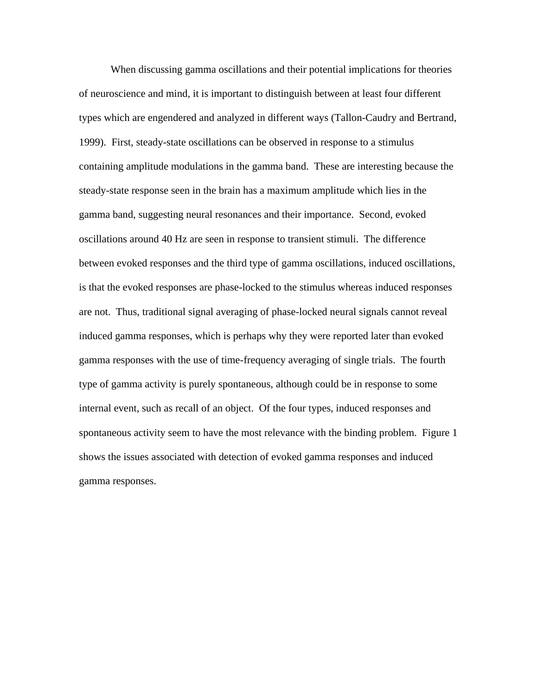When discussing gamma oscillations and their potential implications for theories of neuroscience and mind, it is important to distinguish between at least four different types which are engendered and analyzed in different ways (Tallon-Caudry and Bertrand, 1999). First, steady-state oscillations can be observed in response to a stimulus containing amplitude modulations in the gamma band. These are interesting because the steady-state response seen in the brain has a maximum amplitude which lies in the gamma band, suggesting neural resonances and their importance. Second, evoked oscillations around 40 Hz are seen in response to transient stimuli. The difference between evoked responses and the third type of gamma oscillations, induced oscillations, is that the evoked responses are phase-locked to the stimulus whereas induced responses are not. Thus, traditional signal averaging of phase-locked neural signals cannot reveal induced gamma responses, which is perhaps why they were reported later than evoked gamma responses with the use of time-frequency averaging of single trials. The fourth type of gamma activity is purely spontaneous, although could be in response to some internal event, such as recall of an object. Of the four types, induced responses and spontaneous activity seem to have the most relevance with the binding problem. Figure 1 shows the issues associated with detection of evoked gamma responses and induced gamma responses.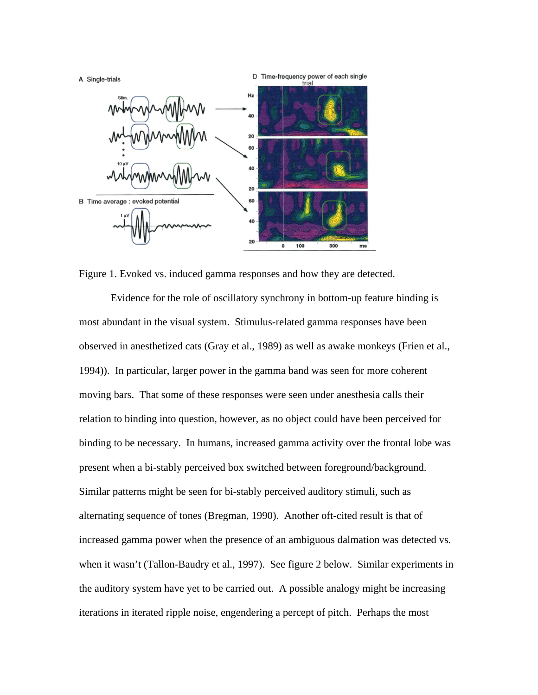

Figure 1. Evoked vs. induced gamma responses and how they are detected.

 Evidence for the role of oscillatory synchrony in bottom-up feature binding is most abundant in the visual system. Stimulus-related gamma responses have been observed in anesthetized cats (Gray et al., 1989) as well as awake monkeys (Frien et al., 1994)). In particular, larger power in the gamma band was seen for more coherent moving bars. That some of these responses were seen under anesthesia calls their relation to binding into question, however, as no object could have been perceived for binding to be necessary. In humans, increased gamma activity over the frontal lobe was present when a bi-stably perceived box switched between foreground/background. Similar patterns might be seen for bi-stably perceived auditory stimuli, such as alternating sequence of tones (Bregman, 1990). Another oft-cited result is that of increased gamma power when the presence of an ambiguous dalmation was detected vs. when it wasn't (Tallon-Baudry et al., 1997). See figure 2 below. Similar experiments in the auditory system have yet to be carried out. A possible analogy might be increasing iterations in iterated ripple noise, engendering a percept of pitch. Perhaps the most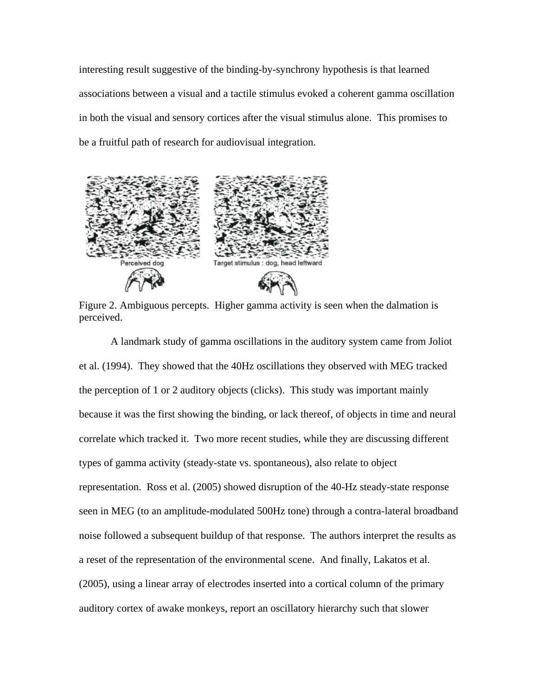interesting result suggestive of the binding-by-synchrony hypothesis is that learned associations between a visual and a tactile stimulus evoked a coherent gamma oscillation in both the visual and sensory cortices after the visual stimulus alone. This promises to be a fruitful path of research for audiovisual integration.



 Figure 2. Ambiguous percepts. Higher gamma activity is seen when the dalmation is perceived.

 A landmark study of gamma oscillations in the auditory system came from Joliot et al. (1994). They showed that the 40Hz oscillations they observed with MEG tracked the perception of 1 or 2 auditory objects (clicks). This study was important mainly because it was the first showing the binding, or lack thereof, of objects in time and neural correlate which tracked it. Two more recent studies, while they are discussing different types of gamma activity (steady-state vs. spontaneous), also relate to object representation. Ross et al. (2005) showed disruption of the 40-Hz steady-state response seen in MEG (to an amplitude-modulated 500Hz tone) through a contra-lateral broadband noise followed a subsequent buildup of that response. The authors interpret the results as a reset of the representation of the environmental scene. And finally, Lakatos et al. (2005), using a linear array of electrodes inserted into a cortical column of the primary auditory cortex of awake monkeys, report an oscillatory hierarchy such that slower